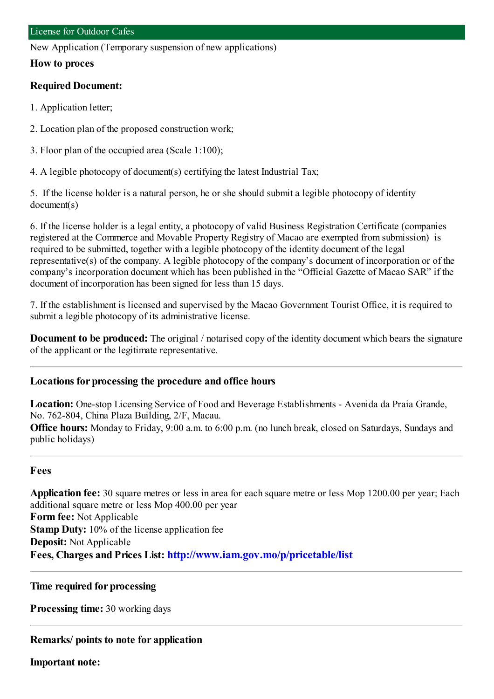New Application (Temporary suspension of new applications)

#### **How to proces**

#### **Required Document:**

- 1. Application letter;
- 2. Location plan of the proposed construction work;
- 3. Floor plan of the occupied area (Scale 1:100);
- 4. A legible photocopy of document(s) certifying the latest Industrial Tax;

5. If the license holder is a natural person, he or she should submit a legible photocopy of identity document(s)

6. If the license holder is a legal entity, a photocopy of valid Business Registration Certificate (companies registered at the Commerce and Movable Property Registry of Macao are exempted fromsubmission) is required to be submitted, together with a legible photocopy of the identity document of the legal representative(s) of the company. A legible photocopy of the company's document of incorporation or of the company's incorporation document which has been published in the "Official Gazette of Macao SAR" if the document of incorporation has been signed for less than 15 days.

7. If the establishment is licensed and supervised by the Macao Government Tourist Office, it is required to submit a legible photocopy of its administrative license.

**Document to be produced:** The original / notarised copy of the identity document which bears the signature of the applicant or the legitimate representative.

## **Locations for processing the procedure and office hours**

**Location:** One-stop Licensing Service of Food and Beverage Establishments - Avenida da Praia Grande, No. 762-804, China Plaza Building, 2/F, Macau.

**Office hours:** Monday to Friday, 9:00 a.m. to 6:00 p.m. (no lunch break, closed on Saturdays, Sundays and public holidays)

## **Fees**

**Application fee:** 30 square metres or less in area for each square metre or less Mop 1200.00 per year; Each additional square metre or less Mop 400.00 per year **Form fee:** Not Applicable **Stamp Duty:** 10% of the license application fee **Deposit:** Not Applicable **Fees, Charges and Prices List: <http://www.iam.gov.mo/p/pricetable/list>**

## **Time required for processing**

**Processing time:** 30 working days

## **Remarks/ points to note for application**

**Important note:**